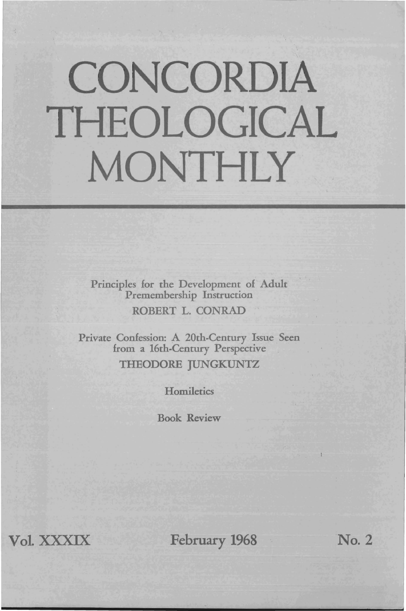## **CONCORDIA THEOLOGICAL MONTHLY**

Principles for the Development of Adult Premembership Instruction ROBERT L. CONRAD

Private Confession: A 20th-Century Issue Seen from a 16th-Century Perspective THEODORE JUNGKUNTZ

**Homiletics** 

Book Review

Vol. XXXIX February 1968 No. 2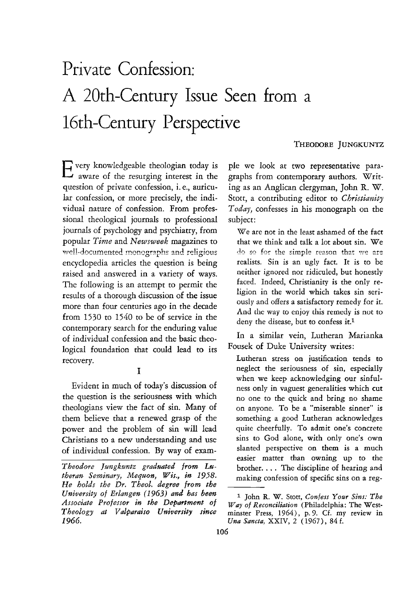## Private Confession: A 20th~Century **Issue** Seen from a 16th-Century Perspective

THEODORE JUNGKUNTZ

Every knowledgeable theologian today is aware of the resurging interest in the question of private confession, i. *e.,* auricular confession, or more precisely, the individual nature of confession. From professional theological journals to professional journals of psychology and psychiatry, from popular *Time* and *Newsweek* magazines to well-documented monographs and religious encyclopedia articles the question is being raised and answered in a variety of ways. The following is an attempt to permit the results of a thorough discussion of the issue more than four centuries ago in the decade from 1530 to 1540 to be of service in the contemporary search for the enduring value of individual confession and the basic theological foundation that could lead to its recovery.

I

Evident in much of today's discussion of the question is the seriousness with which theologians view the fact of sin. Many of them believe that a renewed grasp of the power and the problem of sin will lead Christians to a new understanding and use of individual confession. By way of exampIe we look at two representative paragraphs from contemporary authors. Writing as an Anglican clergyman, John R. W. Stott, a contributing editor to *Christianity Today,* confesses in his monograph on the subject:

*We* are not in the least ashamed of the fact that we think and talk a lot about sin. We do so for the simple reason that we are realists. Sin is an ugly fact. It is to be neither ignored nor ridiculed, but honestly faced. Indeed, Christianity is the only religion in the world which takes sin seriously and offers a satisfactory remedy for it. And the way to enjoy this remedy is not to deny the disease, but to confess it.<sup>1</sup>

In a similar vein, Lutheran Marianka Fousek of Duke University writes:

Lutheran stress on justification tends to neglect the seriousness of sin, especially when we keep acknowledging our sinfulness only in vaguest generalities which cut no one to the quick and bring no shame on anyone. To be a "miserable sinner" is something a good Lutheran acknowledges quite cheerfully. To admit one's concrete sins to God alone, with only one's own slanted perspective on them is a much easier matter than owning up to the brother. . .. The discipline of hearing and making confession of specific sins on a reg-

*Theodore Jungkuntz graduated from Lu· theran Seminary, Mequon, Wis., in 1958. He holds the Dr. Theol. degree from the University of Erlangen* (1963) *and has been*  Associate Professor in the Department of *Theology at Valparaiso University since*  1966.

<sup>&</sup>lt;sup>1</sup> John R. W. Stott, *Confess Your Sins: The Way of Rec01niliation* (Philadelphia: The Westminster Press, 1964), p.9. Cf. my review in *Una Sancta,* XXIV, 2 (1967), 84 f.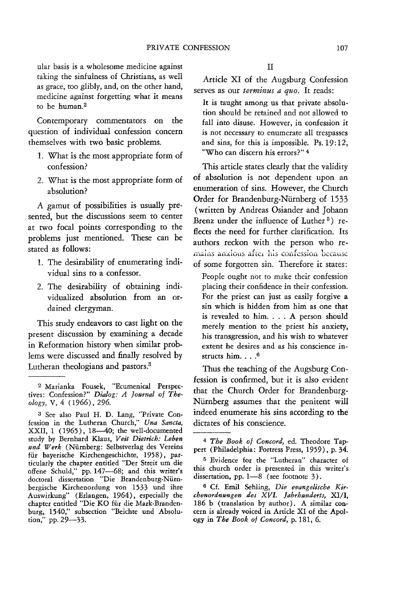ular basis is a wholesome medicine against taking the sinfulness of Christians, as well as grace, too glibly, and, on the other hand, medicine against forgetting what it means to be human.<sup>2</sup>

Contemporary commentators on the question of individual confession concern themselves with two basic problems.

- 1. What is the most appropriate form of confession?
- 2. What is the most appropriate form of absolution?

A gamut of possibilities is usually presented, but the discussions seem to center at two focal points corresponding to the problems just mentioned. These can be stated as follows:

- 1. The desirability of enumerating individual sins to a confessor.
- 2. The desirability of obtaining individualized absolution from an ordained clergyman.

This study endeavors to cast light on the present discussion by examining a decade in Reformation history when similar problems were discussed and finally resolved by Lutheran theologians and pastors.<sup>3</sup>

Article Xl of the Augsburg Confession serves as our *terminus a quo.* It reads:

It is taught among us that private absolution should be retained and not allowed to fall into disuse. However, in confession it is not necessary to enumerate all trespasses and sins, for this is impossible. Ps.19:12, "Who can discern his errors?" 4

This article states clearly that the validity of absolution is not dependent upon an enumeration of sins. However, the Church Order for Brandenburg-Niirnberg of 1533 (written by Andreas Osiander and Johann Brenz under the influence of Luther<sup>5</sup>) reflects the need for further clarification. Its authors reckon with the person who remains anxious after his confession because of some forgotten sin. Therefore it states:

People ought not to make their confession placing their confidence *in* their confession. For the priest can just as easily forgive a sin which is hidden from him as one that is revealed to him. . . . A person should merely mention to the priest his anxiety, his transgression, and his wish to whatever extent he desires and as his conscience instructs him. . . . 6

Thus the teaching of the Augsburg Confession is confirmed, but it is also evident that the Church Order for Brandenburg-Niirnberg assumes that the penitent will indeed enumerate his sins according to the dictates of his conscience.

<sup>2</sup> Marianka Fousek, "Ecumenical Perspectives: Confession?" *Dialog: A Journal of Theology,* V, 4 (1966), 296.

<sup>3</sup> See also Paul H. D. Lang, "Private Confession in the Lutheran Church," *Una Sancta,*  XXII, 1 (1965), 18-40; the well-documented study by Bernhard Klaus, *Veit Dietrich: Leben und Werk* (Niirnberg: Selbstverlag des Vereins fiir bayerische Kirchengeschichte, 1958), particularly the chapter entitled "Der Streit um die offene Schuld," pp. 147-68; and this writer's doctoral dissertation "Die Brandenburg-Nürnbergische Kirchenordung von 1533 und ihre Auswirkung" (Erlangen, 1964), especially the chapter entitled "Die KO fiir die Mark-Brandenburg, 1540," subsection "Beichte und Absolution," pp. 29-33.

<sup>4</sup> *The Book of Concord,* ed. Theodore Tappert (Philadelphia: Fortress Press, 1959), p. 34.

<sup>5</sup> Evidence for the "Lutheran" character of this church order is presented in this writer's dissertation, pp. 1-8 (see footnote  $3$ ).

<sup>6</sup> Cf. Emil Sehling, *Die evangelische KiTchenordnungen des XVI. Jahrhunderts,* XI/I, 186 b (translation by author). A similar concern is already voiced in Article XI of the Apology in *The Book 0/ Concord,* p. 181, 6.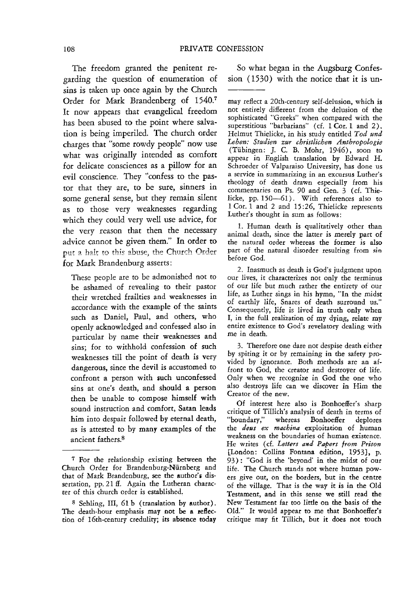The freedom granted the penitent regarding the question of enumeration of sins is taken up once again by the Church Order for Mark Brandenberg of 1540.<sup>7</sup> It now appears that evangelical freedom has been abused to the point where salvation is being imperiled. The church order charges that "some rowdy people" now use what was originally intended as comfort for delicate consciences as a pillow for an evil conscience. They "confess to the pastor that they are, to be sure, sinners in some general sense, but they remain silent as to those very weaknesses regarding which they could very well use advice, for the very reason that then the necessary advice cannot be given them." In order to put a halt to this abuse, the Church Order for Mark Brandenburg asserts:

These people are to be admonished not to be ashamed of revealing to their pastor their wretched frailties and weaknesses in accordance with the example of the saints such as Daniel, Paul, and others, who openly acknowledged and confessed also in particular by name their weaknesses and sins; for to withhold confession of such weaknesses till the point of death is very dangerous, since the devil is accustomed to confront a person with such unconfessed sins at one's death, and should a person then be unable to compose himself with sound instruction and comfort, Satan leads him into despair followed by eternal death, as is attested to by many examples of the ancient fathers.8

So what began in the Augsburg Confession (1530) with the notice that it is un-

may reflect a 20th-century self-delusion, which is not entirely different from the delusion of the sophisticated "Greeks" when compared with the superstitious "barbarians" (cf. 1 Cor. 1 and 2). Helmut Thielicke, in his study entitled *Tod und Leben: Studien zur christlichen Anthropologie*  (Tiibingen: J. c. B. Mohr, 1946), soon to appear in English translation by Edward H. Schroeder of Valparaiso University, has done us a service in summarizing in an excursus Luther's theology of death drawn especially from his commentaries on Ps. 90 and Gen. 3 (cf. Thielicke, pp. 150-61). With references also to 1 Cor. 1 and 2 and 15 :26, Thielicke represents Luther's thought in sum as follows:

1. Human death is qualitatively other than animal deach, since the latter is merely part of the natural order whereas the former is also part of the natural disorder resulting from sin before God.

2. Inasmuch as death is God's judgment upon our lives, it characterizes not only the terminus of our life but much rather the entirety of our life, as Luther sings in his hymn, "In the midst of earthly life, Snares of death surround us." Consequently, life is lived in truth only when I, in the full realization of my dying, relate my entire existence to God's revelatory dealing with me in death.

3. Therefore one dare not despise death either by spiting it or by remaining in the safety provided by ignorance. Both methods are an affront to God, the creator and destroyer of life. Only when we recognize in God the one who also destroys life can we discover in Him the Creator of the new.

Of interest here also is Bonhoeffer's sharp critique of Tillich's analysis of death in terms of "boundary," whereas Bonhoeffer deplores the *deus ex machina* exploitation of human weakness on the boundaries of human existence. He writes (d. *Letters and Papers from Prison*  [London: Collins Fontana edition, 1953), p. 93): "God is the 'beyond· in the midst of our life. The Church stands not where human powers give out, on the borders, but in the centre of the village. That is the way it is in the Old Testament, and in this sense we still read the New Testament far too little on the basis of the Old." It would appear to me that Bonhoeffer's critique may fit Tillich, but it does not touch

<sup>7</sup> For the relationship existing between the Church Order for Brandenburg-Niirnberg and that of Mark Brandenburg, see the author's dissertation, pp. 21 ff. Again the Lutheran character of this church order is established.

<sup>8</sup> Sehling, III, 61 b (translation by author). The death-hour emphasis may not be a reflection of 16th-century credulity; its absence today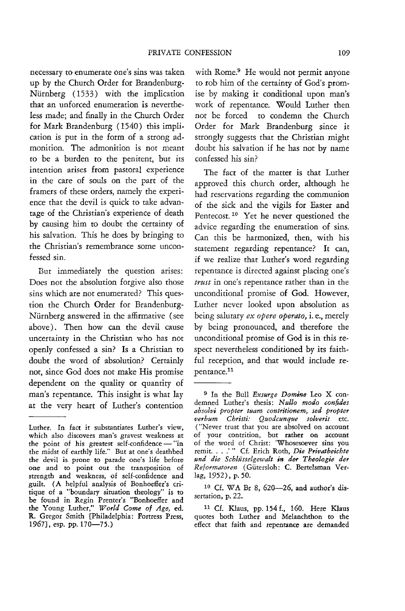necessary to enumerate one's sins was taken up by the Church Order for Brandenburg-Nürnberg (1533) with the implication that an unforced enumeration is nevertheless made; and finally in the Church Order for Mark Brandenburg (1540) this implication is put in the form of a strong admonition, The admonition is not meant to be a burden to the penitent, but its intention arises from pastoral experience in the care of souls on the part of the framers of these orders, namely the experience that the devil is quick to take advantage of the Christian's experience of death by causing him to doubt the certainty of his salvation. This he does by bringing to the Christian's remembrance some unconfessed sin.

But immediately the question arises: Does not the absolution forgive also those sins which are not enumerated? This question the Church Order for Brandenburg-Nurnberg answered in the affirmative (see above). Then how can the devil cause uncertainty in the Christian who has not openly confessed a sin? Is a Christian to doubt the word of absolution? Certainly not, since God does not make His promise dependent on the quality or quantity of man's repentance. This insight is what lay at the very heart of Luther's contention

with Rome.<sup>9</sup> He would not permit anyone to rob him of the certainty of God's promise by making it conditional upon man's work of repentance. Would Luther then not be forced to condemn the Church Order for Mark Brandenburg since it strongly suggests that the Christian might doubt his salvation if he has not *by* name confessed his sin?

The fact of the matter is that Luther approved this church order, although he had reservations regarding the communion of the sick and the vigils for Easter and Pentecost.<sup>10</sup> Yet he never questioned the advice regarding the enumeration of sins. Can this be harmonized, then, with his statement regarding repentance? It can, if we realize that Luther's word regarding repentance is directed against placing one's *trust* in one's repentance rather than in the unconditional promise of God. However, Luther never looked upon absolution as being salutary *ex opere operata,* i. e., merely by being pronounced, and therefore the unconditional promise of God is in this respect nevertheless conditioned *by* its faithful reception, and that would include repentance.<sup>11</sup>

Luther. In fact it substantiates Luther's view, which also discovers man's gravest weakness at the point of his greatest self-confidence - "in the midst of earthly life." But at one's deathbed the devil is prone to parade one's life before one and to point out the transposition of strength and weakness, of self-confidence and guilt. (A helpful analysis of Bonhoeffer's critique of a "boundary situation theology" is to be found in Regin Prenter's "Bonhoeffer and the Young Luther," World Come of Age, ed. R. Gregor Smith [Philadelphia: Fortress Press, 1967], esp. pp. 170-75.)

<sup>&</sup>lt;sup>9</sup> In the Bull *Exsurge Domine* Leo X condemned Luther's thesis: Nullo modo confides *absolvi propter tuam contritionem, sed propter verbum Christi: Quodcunque solveris* etc. ("Never trust that you are absolved on account of your contrition, but rather on account of the word of Christ: 'Whosesoever sins you remit ... .'.. Cf. Erich Roth, *Die Privatbeichte und die Schlusselgewalt in de, Theologie der Reformatoren* (Giitersloh: C. Bertelsman Verlag, 1952), p. 50.

<sup>10</sup> Cf. WA Br 8, 620-26, and author's dissertation, p. 22.

<sup>11</sup> Cf. Klaus, pp. 154 f., 160. Here Klaus quotes both Luther and Melanchthon to the effect that faith and repentance are demanded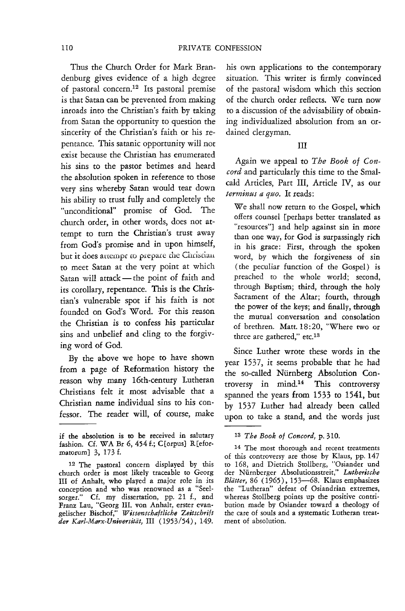Thus the Church Order for Mark Brandenburg gives evidence of a high degree of pastoral concern.12 Its pastoral premise is that Satan can be prevented from making inroads into the Christian's faith by taking from Satan the opportunity to question the sincerity of the Christian's faith or his repentance. This satanic opportunity will not exist because the Christian has enumerated his sins to the pastor betimes and heard the absolution spoken in reference to those very sins whereby Satan would tear down his ability to trust fully and completely the "unconditional" promise of God. The church order, in other words, does not attempt to turn the Christian's trust away from God's promise and in upon himself, but it does attempt to prepare the Christian<br>to meet Satan at the very point at which Satan will attack - the point of faith and its corollary, repentance. This is the Christian's vulnerable spot if his faith is not founded on God's Word. For this reason the Christian is to confess his particular sins and unbelief and cling to the forgiving word of God.

By the above we hope to have shown from a page of Reformation history the reason why many 16th-century Lutheran Christians felt it most advisable that a Christian name individual sins to his confessor. The reader will, of course, make

his own applications to the contemporary situation. This writer is firmly convinced of the pastoral wisdom which this section of the church order reflects. We turn now to a discussion of the advisability of obtaining individualized absolution from an ordained clergyman.

## III

Again we appeal to *The Book of Concord* and particularly this time to the Smalcald Articles, Part III, Article IV, as our *terminus a quo.* It reads:

We shall now return to the Gospel, which offers counsel [perhaps better translated as "resources"} and help against sin in more than one way, for God is surpassingly rich in his grace: First, through the spoken word, by which the forgiveness of sin (the peculiar function of the Gospel) is preached to the whole world; second, through Baptism; third, through the holy Sacrament of the Altar; fourth, through the power of the keys; and finally, through the mutual conversation and consolation of brethren. Matt. 18:20, "Where two or three are gathered," *etc.13* 

Since Luther wrote these words in the year 1537, it seems probable that he had the so-called Niirnberg Absolution Controversy in mind.14 This controversy spanned the years from 1533 to 1541, but by 1537 Luther had already been called upon to take a stand, and the words just

if the absolution is to be received in salutary fashion. Cf. WA Br 6, 454 f.; C[orpus] R[eformatorum} 3, 173 f.

<sup>12</sup> The pastoral concern displayed by this church order is most likely traceable to Georg III of Anhalt, who played a major role in its conception and who was renowned as a "Seel· sorger." Cf. my dissertation, pp. 21 f., and Franz Lau, "Georg III. von Anhalt, erster evangelischer Bischof," *Wissenschaftliche Zeitschl'ift der Karl·Marx-Universitiit,* III (1953/54), 149.

<sup>13</sup> *The Book of Concord,* p.310.

<sup>14</sup> The most thorough and recent treatments of this controversy are those by Klaus, pp. 147 to 168, and Dietrich Stollberg, "Osiander und der Nurnberger Absolutionsstreit," *Lutherische Blatter,* 86 (1965), 153-68. Klaus emphasizes the "Lutheran" defeat of Osiandrian extremes, whereas Stollberg points up the positive contribution made by Osiander toward a theology of the care of souls and a systematic Lutheran treatment of absolution.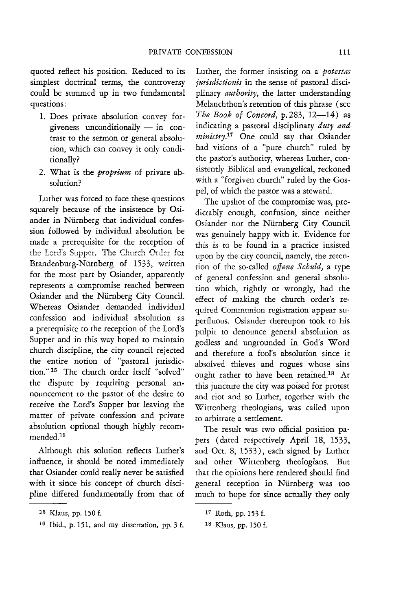quoted reflect his position. Reduced to its simplest doctrinal terms, the controversy could be summed up in two fundamental questions:

- 1. Does private absolution convey forgiveness unconditionally  $-$  in contrast to the sermon or general absolution, which can convey it only conditionally?
- 2. What is the *proprium* of private absolution?

Luther was forced to face these questions squarely because of the insistence by Osiander in Niirnberg that individual confession followed by individual absolution be made a prerequisite for the reception of the Lord's Supper. The Church Order for Brandenburg-Nürnberg of 1533, written for the most part by Osiander, apparently represents a compromise reached between Osiander and the Niirnberg City Council. Whereas Osiander demanded individual confession and individual absolution as a prerequisite to the reception of the Lord's Supper and in this way hoped to maintain church discipline, the city council rejected the entire notion of "pastoral jurisdiction." 15 The church order itself "solved" the dispute by requiring personal announcement to the pastor of the desire to receive the Lord's Supper but leaving the matter of private confession and private absolution optional though highly recommended.1s

Although this solution reflects Luther's influence, it should be noted immediately that Osiander could really never be satisfied with it since his concept of church discipline differed fundamentally from that of Luther, the former insisting on a *potestas jurisdictionis* in the sense of pastoral disciplinary *authority,* the latter understanding Melanchthon's retention of this phrase (see *The Book of Concord, p. 283, 12-14)* as indicating a pastoral disciplinary *duty and ministry*.<sup>17</sup> One could say that Osiander had visions of a "pure church" ruled by the pastor's authority, whereas Luther, consistently Biblical and evangelical, reckoned with a "forgiven church" ruled by the Gospel, of which the pastor was a steward.

The upshot of the compromise was, predictably enough, confusion, since neither Osiander nor the Niirnberg City Council was genuinely happy with it. Evidence for this is to be found in a practice insisted upon by the city council, namely, the retention of the so-called *offene Schuld,* a type of general confession and general absolution which, rightly or wrongly, had the effect of making the church order's required Communion registration appear superfluous. Osiander thereupon took to his pulpit to denounce general absolution as godless and ungrounded in God's Word and therefore a fool's absolution since it absolved thieves and rogues whose sins ought rather to have been retained.<sup>18</sup> At this juncture the city was poised for protest and riot and so Luther, together with the Wittenberg theologians, was called upon to arbitrate a settlement.

The result was two official position papers (dated respectively April 18, 1533, and Oct. 8, 1533), each signed by Luther and other Wittenberg theologians. But that the opinions here rendered should find general reception in Niirnberg was too much to hope for since actually they only

<sup>15</sup> Klaus, pp. 150 f.

<sup>16</sup> Ibid., p. 151, and my dissertation, pp. 3 f.

<sup>17</sup> Roth, pp. 153 f.

<sup>18</sup> Klaus, pp. 150 f.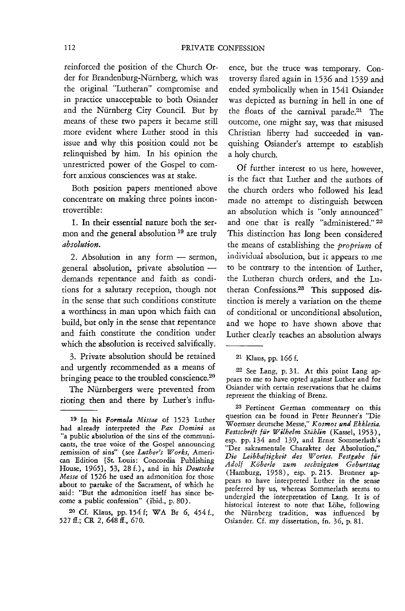reinforced the position of the Church Order for Brandenburg-Niirnberg, which was the original "Lutheran" compromise and in practice unacceptable to both Osiander and the Niirnberg City Council. But by means of these two papers it became still more evident where Luther stood in this issue and why this position could not be relinquished by him. In his opinion the unrestricted power of the Gospel to comfort anxious consciences was at stake.

Both position papers mentioned above concentrate on making three points incontrovertible:

1. In their essential nature both the sermon and the general absolution<sup>19</sup> are truly *absolution.* 

2. Absolution in any form - sermon, general absolution, private absolutiondemands repentance and faith as conditions for a salutary reception, though not in the sense that such conditions constitute a worthiness in man upon which faith can build, but only in the sense that repentance and faith constitute the condition under which the absolution is received salvifically.

3. Private absolution should be retained and urgently recommended as a means of bringing peace to the troubled conscience.<sup>20</sup>

The Nürnbergers were prevented from rioting then and there by Luther's influ-

20 Cf. Klaus, pp. 154 f; WA Br 6, 454 f., 527 ff.; CR 2, 648 ff., 670.

ence, but the truce was temporary. Controversy flared again in 1536 and 1539 and ended symbolically when in 1541 Osiander was depicted as burning in hell in one of the floats of the carnival parade.<sup>21</sup> The outcome, one might say, was that misused Christian liberty had succeeded in vanquishing Osiander's attempt to establish a holy church.

Of further interest to us here, however, is the fact that Luther and the authors of the church orders who followed his lead made no attempt to distinguish between an absolution which is "only announced" and one that is really "administered." 22 This distinction has long been considered the means of establishing the *proprium* of individual absolution, but it appears to me to be contrary to the intention of luther, the Lutheran church orders, and the Lutheran Confessions.<sup>23</sup> This supposed distinction is merely a variation on the theme of **conditional or unconditional absolution,**  and we hope to have shown above that Luther clearly teaches an absolution always

21 Klaus, pp. 166 f.

<sup>19</sup> In his *Formula Missae* of 1523 Luther had already interpreted the *Pax Domini* as "a public absolution of the sins of the communicants, the true voice of the Gospel announcing remission of sins" (see *Luther's Works,* American Edition [St. Louis: Concordia Publishing House, 1965], 53, 28 f.), and in his *Deutsche Messe* of 1526 he used an admonition for those about to partake of the Sacrament, of which he said: "But the admonition itself has since become a public confession" (ibid., p. 80) .

<sup>22</sup> See Lang, p. 31. At this point Lang appears to me to have opted against Luther and for Osiander with certain reservations that he claims represent the thinking of Brenz.

<sup>23</sup> Pertinent German commentary on this question can be found in Peter Brunner's "Die Wormser deutsche Messe," *Kosmos und Ekklesia.*  Festschrift für Wilhelm Stählin (Kassel, 1953), esp. pp. 134 and 139, and Ernst Sommerlath's "Der sakramentale Charakter der Absolution," Die Leibhaftigkeit des Wortes. Festgabe für *Adolf Koberle zum sechzigsten Geburtstag*  (Hamburg, 1958), esp. p.215. Brunner appears to have interpreted Luther in the sense preferred by us, whereas Sommerlath seems to undergird the interpretation of Lang. It is of historical interest to note that Löhe, following the Niirnberg tradition, was influenced by Osiander. Cf. my dissertation, fn. 36, p. 81.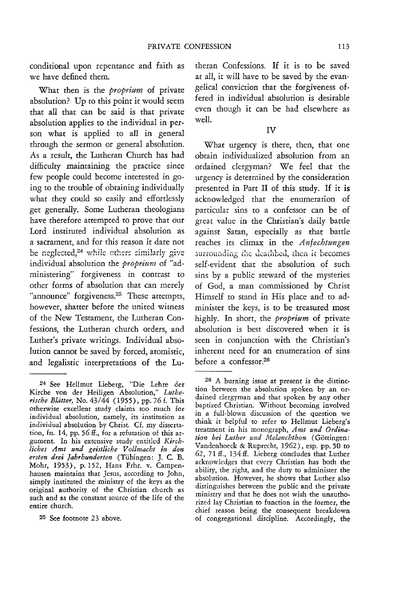conditional upon repentance and faith as we have defined them.

What then is the *proprium* of private absolution? Up to this point it would seem that all that can be said is that private absolution applies to the individual in person what is applied to all in general through the sermon or general absolution. As a result, the Lutheran Church has had difficulty maintaining the practice since few people could become interested in going to the trouble of obtaining individually what they could so easily and effortlessly get generally. Some Lutheran theologians have therefore attempted to prove that our Lord instituted individual absolution as a sacrament, and for this reason it dare not be neglected, $24$  while others similarly give individual absolution the *proprium* of "administering" forgiveness in contrast to other forms of absolution that can merely "announce" forgiveness.<sup>25</sup> These attempts, however, shatter before the united witness of the New Testament, the Lutheran Confessions, the Lutheran church orders, and Luther's private writings. Individual absolution cannot be saved by forced, atomistic, and legalistic interpretations of the Lu-

25 See footnote 23 above.

theran Confessions. If it is to be saved at all, it will have to be saved by the evangelical conviction that the forgiveness offered in individual absolution is desirable even though it can be had elsewhere as well.

## IV

What urgency is there, then, that one obtain individualized absolution from an ordained clergyman? We feel that the urgency is determined by the consideration presented in Part II of this study. If it is acknowledged that the enumeration of particular sins to a confessor can be of great value in the Christian's daily battle against Satan, especially as that battle reaches its climax in the *Anfecbtungen*  surrounding the deathbed, then it becomes self-evident that the absolution of such sins by a public steward of the mysteries of God, a man commissioned by Christ Himself to stand in His place and to administer the keys, is to be treasured most highly. In short, the *proprium* of private absolution is best discovered when it is seen in conjunction with the Christian's inherent need for an enumeration of sins before a confessor.26

<sup>24</sup> See Hellmut Lieberg, "Die Lehre der Kirche von der Heiligen Absolution," *Lutherische Blatter,* No. 43/44 (1955), pp. 76 f. This otherwise excellent study claims *too* much for individual absolution, namely, its institution as individual absolution by Christ. Cf. my dissertation, fn. 14, pp. 56 ff., for a refutation of this argument. In his extensive study entitled *Kirchliches Amt und geistliche V ollmacht* in *den e1'sten dre; Jahrhunderten* (Tiibingen: J. c. B. Mohr, 1953), p. 152, Hans Frhr. v. Campenhausen maintains that Jesus, according to John, simply instituted the ministry of the keys as the original authority of the Christian church as such and as the constant source of the life of the entire church.

<sup>26</sup> A burning issue at present is the distinction between the absolution spoken by an ordained clergyman and that spoken by any other baptized Christian. Without becoming involved in a full-blown discussion of the question we think it helpful to refer to Hellmut Lieberg's treatment in his monograph, *Amt und Ordina*tion bei Luther und Melanchthon (Göttingen: Vandenhoeck & Ruprecht, 1962), esp. pp. 50 to 62, 71 ff., 134 ff. Lieberg concludes that Luther acknowledges that every Christian has both the ability, the right, and the duty to administer the absolution. However, he shows that Luther also distinguishes between the public and the private ministry and that he does not wish the unauthorized lay Christian to function in the former, the chief reason being the consequent breakdown of congregational discipline. Accordingly, the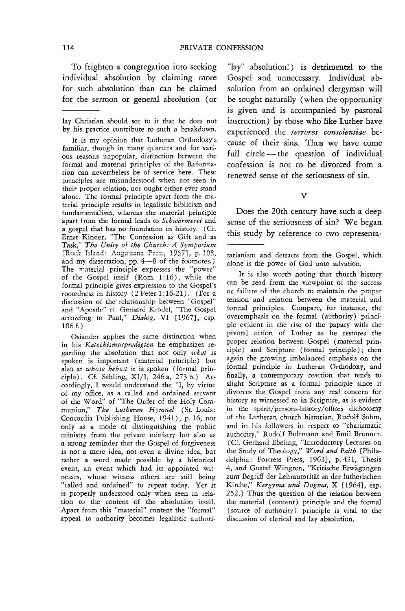To frighten a congregation into seeking individual absolution by claiming more for such absolution than can be claimed for the sermon or general absolution (or

lay Christian should see to it that he does not by his practice contribute to such a breakdown.

It is my opinion that Lutheran Orthodoxy's familiar, though in many quarters and for various reasons unpopular, distinction between the formal and material principles of the Reformation can nevertheless be of service here. These principles are misunderstood when not seen in their proper relation, nor ought either ever stand alone. The formal principle apart from the material principle results in legalistic biblicism and fundamentalism, whereas the material principle apart from the formal leads to *Schwarmerei* and a gospel that has no foundation in history. (Cf. Ernst Kinder, "The Confession as Gift and as Task," *The Unity* 0/ *the Church: A Symposium*  [Rock Island: Augustana Press, 1957], p. 108, and my dissertation, pp. 4-8 of the footnotes.) The material principle expresses the "power" of the Gospel itself (Rom. 1:16), while the formal principle gives expression to the Gospel's rootedness in history (2 Peter 1: 16-21). (For a discussion of the relationship between "Gospel" and "Aposde" cf. Gerhard Krodel, "The Gospel according to Paul," *Dialog,* VI [l967}, esp. 106 f.)

Osiander applies the same distinction when in his *Katechismuspredigten* he emphasizes regarding the absolution that not only *what* is spoken is important (material principle) but also at *whose behest* it is spoken (formal principle) \_ Cf. Sehling, XI/I, 246 a, 273 b.) Accordingly, I would understand the "I, by virtue of my office, as a called and ordained servant of the Word" of "The Order of the Holy Communion," *The Lutheran Hymnal* (St. Louis: Concordia Publishing House, 1941), p. 16, not only as a mode of distinguishing the public ministry from the private ministry but also as a strong reminder that the Gospel of forgiveness is not a mere idea, not even a divine idea, but rather a word made possible by a historical event, an event which had its appointed witnesses, whose witness others are still being "called and ordained" to repeat today. Yet it is properly understood only when seen in relation to the content of the absolution itself. Apart from this "material" content the "formal" appeal to authority becomes legalistic authori-

"lay" absolution!) is detrimental to the Gospel and unnecessary. Individual absolution from an ordained clergyman will be sought naturally (when the opportunity is given and is accompanied by pastoral instruction) by those who like Luther have experienced the *terrores conscientiae* because of their sins. Thus we have come full circle - the question of individual confession is not to be divorced from a renewed sense of the seriousness of sin.

v

Does the 20th century have such a deep sense of the seriousness of sin? We began this study by reference to two representa-

tarianism and detracts from the Gospel, which alone is the power of God unto salvation.

It is also worth noting that church history can be read from the viewpoint of the success or failure of the church to maintain the proper tension and relation between the material and formal principles. Compare, for instance, the overemphasis on the formal (authority) principle evident in the rise of the papacy with the pivotal action of Luther as he restores the proper relation between Gospel (material principle) and Scripture (formal principle); then again the growing imbalanced emphasis on the formal principle in Lutheran Orthodoxy, and finally, a contemporary reaction that tends to slight Scripture as a formal principle since *it*  divorces the Gospel from any real concern for history as witnessed to in Scripture, as is evident in the spirit/persons-history/offices dichotomy of the Lutheran church historian, Rudolf Sohm, and in his followers in respect to "charismatic authority," Rudolf Bultmann and Emil Brunner. (Cf. Gerhard Ebeling, "Introductory Lectures on the Study of Theology," *Word and Faith* [Philadelphia: Fortress Press, 1963}, p.431, Thesis 4, and Gustaf Wingren, "Kritische Erwagungen zum Begriff der Lehrautorität in der lutherischen Kirche," *Kergyma und Dogma*, X [1964], esp. 252.) Thus the question of the relation between the material (content) principle and the formal (source of authority) principle is vital to the discussion of clerical and lay absolution.